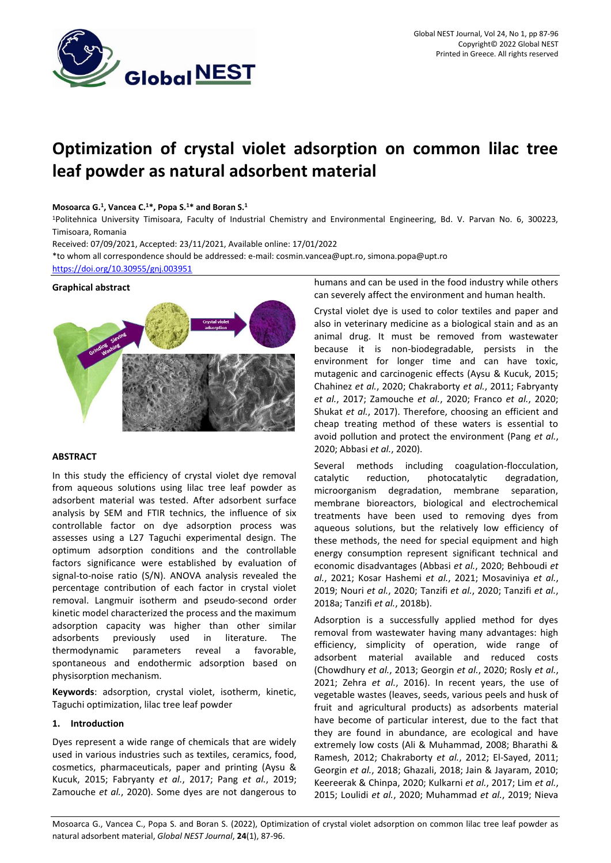

# **Optimization of crystal violet adsorption on common lilac tree leaf powder as natural adsorbent material**

# **Mosoarca G.<sup>1</sup> , Vancea C.<sup>1</sup>\*, Popa S.<sup>1</sup>\* and Boran S.<sup>1</sup>**

<sup>1</sup>Politehnica University Timisoara, Faculty of Industrial Chemistry and Environmental Engineering, Bd. V. Parvan No. 6, 300223, Timisoara, Romania

Received: 07/09/2021, Accepted: 23/11/2021, Available online: 17/01/2022

\*to whom all correspondence should be addressed: e-mail: cosmin.vancea@upt.ro, simona.popa@upt.ro

<https://doi.org/10.30955/gnj.003951>

# **Graphical abstract**



# **ABSTRACT**

In this study the efficiency of crystal violet dye removal from aqueous solutions using lilac tree leaf powder as adsorbent material was tested. After adsorbent surface analysis by SEM and FTIR technics, the influence of six controllable factor on dye adsorption process was assesses using a L27 Taguchi experimental design. The optimum adsorption conditions and the controllable factors significance were established by evaluation of signal-to-noise ratio (S/N). ANOVA analysis revealed the percentage contribution of each factor in crystal violet removal. Langmuir isotherm and pseudo-second order kinetic model characterized the process and the maximum adsorption capacity was higher than other similar adsorbents previously used in literature. The thermodynamic parameters reveal a favorable, spontaneous and endothermic adsorption based on physisorption mechanism.

**Keywords**: adsorption, crystal violet, isotherm, kinetic, Taguchi optimization, lilac tree leaf powder

# **1. Introduction**

Dyes represent a wide range of chemicals that are widely used in various industries such as textiles, ceramics, food, cosmetics, pharmaceuticals, paper and printing (Aysu & Kucuk, 2015; Fabryanty *et al.*, 2017; Pang *et al.*, 2019; Zamouche *et al.*, 2020). Some dyes are not dangerous to humans and can be used in the food industry while others can severely affect the environment and human health.

Crystal violet dye is used to color textiles and paper and also in veterinary medicine as a biological stain and as an animal drug. It must be removed from wastewater because it is non-biodegradable, persists in the environment for longer time and can have toxic, mutagenic and carcinogenic effects (Aysu & Kucuk, 2015; Chahinez *et al.*, 2020; Chakraborty *et al.*, 2011; Fabryanty *et al.*, 2017; Zamouche *et al.*, 2020; Franco *et al.*, 2020; Shukat *et al.*, 2017). Therefore, choosing an efficient and cheap treating method of these waters is essential to avoid pollution and protect the environment (Pang *et al.*, 2020; Abbasi *et al.*, 2020).

Several methods including coagulation-flocculation, catalytic reduction, photocatalytic degradation, microorganism degradation, membrane separation, membrane bioreactors, biological and electrochemical treatments have been used to removing dyes from aqueous solutions, but the relatively low efficiency of these methods, the need for special equipment and high energy consumption represent significant technical and economic disadvantages (Abbasi *et al.*, 2020; Behboudi *et al.*, 2021; Kosar Hashemi *et al.*, 2021; Mosaviniya *et al.*, 2019; Nouri *et al.*, 2020; Tanzifi *et al.*, 2020; Tanzifi *et al.*, 2018a; Tanzifi *et al.*, 2018b).

Adsorption is a successfully applied method for dyes removal from wastewater having many advantages: high efficiency, simplicity of operation, wide range of adsorbent material available and reduced costs (Chowdhury *et al.*, 2013; Georgin *et al.*, 2020; Rosly *et al.*, 2021; Zehra *et al.*, 2016). In recent years, the use of vegetable wastes (leaves, seeds, various peels and husk of fruit and agricultural products) as adsorbents material have become of particular interest, due to the fact that they are found in abundance, are ecological and have extremely low costs (Ali & Muhammad, 2008; Bharathi & Ramesh, 2012; Chakraborty *et al.*, 2012; El-Sayed, 2011; Georgin *et al.*, 2018; Ghazali, 2018; Jain & Jayaram, 2010; Keereerak & Chinpa, 2020; Kulkarni *et al.*, 2017; Lim *et al.*, 2015; Loulidi *et al.*, 2020; Muhammad *et al.*, 2019; Nieva

Mosoarca G., Vancea C., Popa S. and Boran S. (2022), Optimization of crystal violet adsorption on common lilac tree leaf powder as natural adsorbent material, *Global NEST Journal*, **24**(1), 87-96.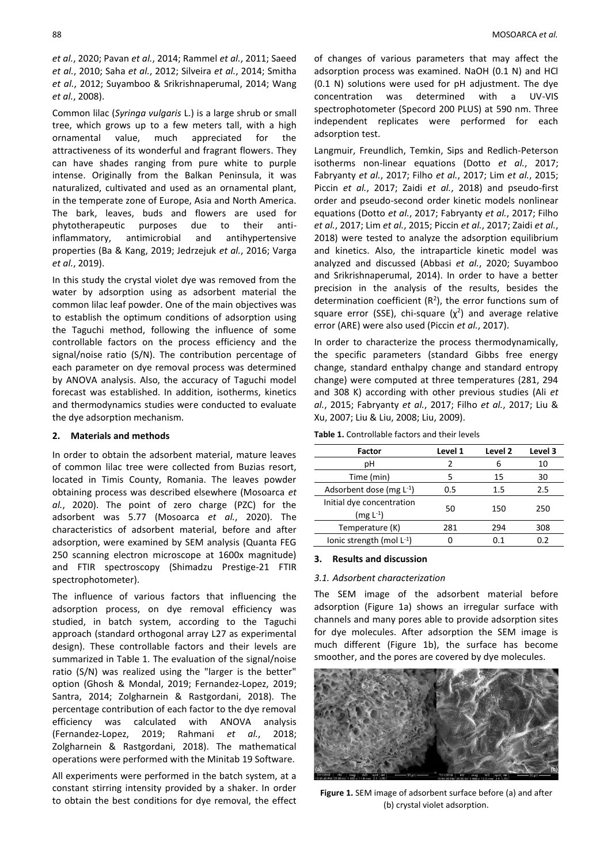*et al.*, 2020; Pavan *et al.*, 2014; Rammel *et al.*, 2011; Saeed *et al.*, 2010; Saha *et al.*, 2012; Silveira *et al.*, 2014; Smitha *et al.*, 2012; Suyamboo & Srikrishnaperumal, 2014; Wang *et al.*, 2008).

Common lilac (*Syringa vulgaris* L.) is a large shrub or small tree, which grows up to a few meters tall, with a high ornamental value, much appreciated for the attractiveness of its wonderful and fragrant flowers. They can have shades ranging from pure white to purple intense. Originally from the Balkan Peninsula, it was naturalized, cultivated and used as an ornamental plant, in the temperate zone of Europe, Asia and North America. The bark, leaves, buds and flowers are used for phytotherapeutic purposes due to their antiinflammatory, antimicrobial and antihypertensive properties (Ba & Kang, 2019; Jedrzejuk *et al.*, 2016; Varga *et al.*, 2019).

In this study the crystal violet dye was removed from the water by adsorption using as adsorbent material the common lilac leaf powder. One of the main objectives was to establish the optimum conditions of adsorption using the Taguchi method, following the influence of some controllable factors on the process efficiency and the signal/noise ratio (S/N). The contribution percentage of each parameter on dye removal process was determined by ANOVA analysis. Also, the accuracy of Taguchi model forecast was established. In addition, isotherms, kinetics and thermodynamics studies were conducted to evaluate the dye adsorption mechanism.

#### **2. Materials and methods**

In order to obtain the adsorbent material, mature leaves of common lilac tree were collected from Buzias resort, located in Timis County, Romania. The leaves powder obtaining process was described elsewhere (Mosoarca *et al.*, 2020). The point of zero charge (PZC) for the adsorbent was 5.77 (Mosoarca *et al.*, 2020). The characteristics of adsorbent material, before and after adsorption, were examined by SEM analysis (Quanta FEG 250 scanning electron microscope at 1600x magnitude) and FTIR spectroscopy (Shimadzu Prestige-21 FTIR spectrophotometer).

The influence of various factors that influencing the adsorption process, on dye removal efficiency was studied, in batch system, according to the Taguchi approach (standard orthogonal array L27 as experimental design). These controllable factors and their levels are summarized in Table 1. The evaluation of the signal/noise ratio (S/N) was realized using the "larger is the better" option (Ghosh & Mondal, 2019; Fernandez-Lopez, 2019; Santra, 2014; Zolgharnein & Rastgordani, 2018). The percentage contribution of each factor to the dye removal efficiency was calculated with ANOVA analysis (Fernandez-Lopez, 2019; Rahmani *et al.*, 2018; Zolgharnein & Rastgordani, 2018). The mathematical operations were performed with the Minitab 19 Software.

All experiments were performed in the batch system, at a constant stirring intensity provided by a shaker. In order to obtain the best conditions for dye removal, the effect of changes of various parameters that may affect the adsorption process was examined. NaOH (0.1 N) and HCl (0.1 N) solutions were used for pH adjustment. The dye concentration was determined with a UV-VIS spectrophotometer (Specord 200 PLUS) at 590 nm. Three independent replicates were performed for each adsorption test.

Langmuir, Freundlich, Temkin, Sips and Redlich-Peterson isotherms non-linear equations (Dotto *et al.*, 2017; Fabryanty *et al.*, 2017; Filho *et al.*, 2017; Lim *et al.*, 2015; Piccin *et al.*, 2017; Zaidi *et al.*, 2018) and pseudo-first order and pseudo-second order kinetic models nonlinear equations (Dotto *et al.*, 2017; Fabryanty *et al.*, 2017; Filho *et al.*, 2017; Lim *et al.*, 2015; Piccin *et al.*, 2017; Zaidi *et al.*, 2018) were tested to analyze the adsorption equilibrium and kinetics. Also, the intraparticle kinetic model was analyzed and discussed (Abbasi *et al.*, 2020; Suyamboo and Srikrishnaperumal, 2014). In order to have a better precision in the analysis of the results, besides the determination coefficient  $(R<sup>2</sup>)$ , the error functions sum of square error (SSE), chi-square  $(\chi^2)$  and average relative error (ARE) were also used (Piccin *et al.*, 2017).

In order to characterize the process thermodynamically, the specific parameters (standard Gibbs free energy change, standard enthalpy change and standard entropy change) were computed at three temperatures (281, 294 and 308 K) according with other previous studies (Ali *et al.*, 2015; Fabryanty *et al.*, 2017; Filho *et al.*, 2017; Liu & Xu, 2007; Liu & Liu, 2008; Liu, 2009).

| Table 1. Controllable factors and their levels |
|------------------------------------------------|
|------------------------------------------------|

| <b>Factor</b>                               | Level 1 | Level 2 | Level 3 |
|---------------------------------------------|---------|---------|---------|
| рH                                          | 2       | 6       | 10      |
| Time (min)                                  | 5       | 15      | 30      |
| Adsorbent dose ( $mg L^{-1}$ )              | 0.5     | $1.5\,$ | 2.5     |
| Initial dye concentration<br>(mg $L^{-1}$ ) | 50      | 150     | 250     |
| Temperature (K)                             | 281     | 294     | 308     |
| Ionic strength (mol $L^{-1}$ )              |         | በ 1     | 0.2     |

#### **3. Results and discussion**

#### *3.1. Adsorbent characterization*

The SEM image of the adsorbent material before adsorption (Figure 1a) shows an irregular surface with channels and many pores able to provide adsorption sites for dye molecules. After adsorption the SEM image is much different (Figure 1b), the surface has become smoother, and the pores are covered by dye molecules.



**Figure 1.** SEM image of adsorbent surface before (a) and after (b) crystal violet adsorption.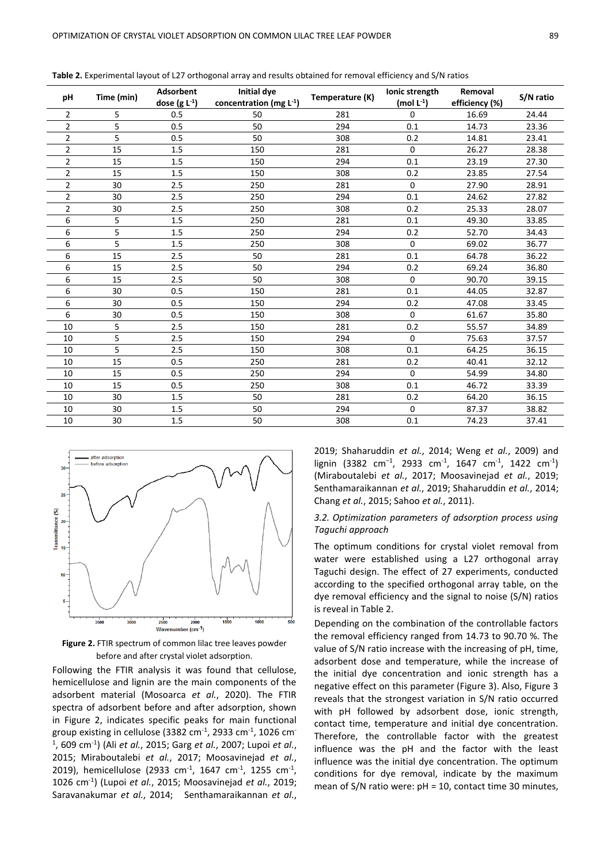| pH             | Time (min) | Adsorbent<br>dose $(g L^{-1})$ | <b>Initial dye</b><br>concentration (mg $L^{-1}$ ) | Temperature (K) | Ionic strength<br>$(mod L-1)$ | Removal<br>efficiency (%) | S/N ratio |
|----------------|------------|--------------------------------|----------------------------------------------------|-----------------|-------------------------------|---------------------------|-----------|
| 2              | 5          | 0.5                            | 50                                                 | 281             | 0                             | 16.69                     | 24.44     |
| $\overline{2}$ | 5          | 0.5                            | 50                                                 | 294             | 0.1                           | 14.73                     | 23.36     |
| 2              | 5          | 0.5                            | 50                                                 | 308             | 0.2                           | 14.81                     | 23.41     |
| $\overline{2}$ | 15         | 1.5                            | 150                                                | 281             | 0                             | 26.27                     | 28.38     |
| $\overline{2}$ | 15         | 1.5                            | 150                                                | 294             | 0.1                           | 23.19                     | 27.30     |
| 2              | 15         | 1.5                            | 150                                                | 308             | 0.2                           | 23.85                     | 27.54     |
| $\overline{2}$ | 30         | 2.5                            | 250                                                | 281             | $\mathbf 0$                   | 27.90                     | 28.91     |
| 2              | 30         | 2.5                            | 250                                                | 294             | 0.1                           | 24.62                     | 27.82     |
| 2              | 30         | 2.5                            | 250                                                | 308             | 0.2                           | 25.33                     | 28.07     |
| 6              | 5          | 1.5                            | 250                                                | 281             | 0.1                           | 49.30                     | 33.85     |
| 6              | 5          | 1.5                            | 250                                                | 294             | 0.2                           | 52.70                     | 34.43     |
| 6              | 5          | 1.5                            | 250                                                | 308             | $\mathbf 0$                   | 69.02                     | 36.77     |
| 6              | 15         | 2.5                            | 50                                                 | 281             | 0.1                           | 64.78                     | 36.22     |
| 6              | 15         | 2.5                            | 50                                                 | 294             | 0.2                           | 69.24                     | 36.80     |
| 6              | 15         | 2.5                            | 50                                                 | 308             | $\mathbf 0$                   | 90.70                     | 39.15     |
| 6              | 30         | 0.5                            | 150                                                | 281             | 0.1                           | 44.05                     | 32.87     |
| 6              | 30         | 0.5                            | 150                                                | 294             | 0.2                           | 47.08                     | 33.45     |
| 6              | 30         | 0.5                            | 150                                                | 308             | $\mathbf 0$                   | 61.67                     | 35.80     |
| 10             | 5          | 2.5                            | 150                                                | 281             | 0.2                           | 55.57                     | 34.89     |
| 10             | 5          | 2.5                            | 150                                                | 294             | $\mathbf 0$                   | 75.63                     | 37.57     |
| 10             | 5          | 2.5                            | 150                                                | 308             | 0.1                           | 64.25                     | 36.15     |
| 10             | 15         | 0.5                            | 250                                                | 281             | 0.2                           | 40.41                     | 32.12     |
| 10             | 15         | 0.5                            | 250                                                | 294             | $\mathbf 0$                   | 54.99                     | 34.80     |
| 10             | 15         | 0.5                            | 250                                                | 308             | 0.1                           | 46.72                     | 33.39     |
| 10             | 30         | 1.5                            | 50                                                 | 281             | 0.2                           | 64.20                     | 36.15     |
| 10             | 30         | 1.5                            | 50                                                 | 294             | $\mathbf 0$                   | 87.37                     | 38.82     |
| 10             | 30         | 1.5                            | 50                                                 | 308             | 0.1                           | 74.23                     | 37.41     |

**Table 2.** Experimental layout of L27 orthogonal array and results obtained for removal efficiency and S/N ratios



Figure 2. FTIR spectrum of common lilac tree leaves powder before and after crystal violet adsorption.

Following the FTIR analysis it was found that cellulose, hemicellulose and lignin are the main components of the adsorbent material (Mosoarca *et al.*, 2020). The FTIR spectra of adsorbent before and after adsorption, shown in Figure 2, indicates specific peaks for main functional group existing in cellulose (3382 cm $^{-1}$ , 2933 cm $^{-1}$ , 1026 cm $^{-1}$ 1 , 609 cm-1 ) (Ali *et al.*, 2015; Garg *et al.*, 2007; Lupoi *et al.*, 2015; Miraboutalebi *et al.*, 2017; Moosavinejad *et al.*, 2019), hemicellulose (2933 cm<sup>-1</sup>, 1647 cm<sup>-1</sup>, 1255 cm<sup>-1</sup>, 1026 cm-1 ) (Lupoi *et al.*, 2015; Moosavinejad *et al.*, 2019; Saravanakumar *et al.*, 2014; Senthamaraikannan *et al.*,

2019; Shaharuddin *et al.*, 2014; Weng *et al.*, 2009) and lignin (3382 cm<sup>-1</sup>, 2933 cm<sup>-1</sup>, 1647 cm<sup>-1</sup>, 1422 cm<sup>-1</sup>) (Miraboutalebi *et al.*, 2017; Moosavinejad *et al.*, 2019; Senthamaraikannan *et al.*, 2019; Shaharuddin *et al.*, 2014; Chang *et al.*, 2015; Sahoo *et al.*, 2011).

# *3.2. Optimization parameters of adsorption process using Taguchi approach*

The optimum conditions for crystal violet removal from water were established using a L27 orthogonal array Taguchi design. The effect of 27 experiments, conducted according to the specified orthogonal array table, on the dye removal efficiency and the signal to noise (S/N) ratios is reveal in Table 2.

Depending on the combination of the controllable factors the removal efficiency ranged from 14.73 to 90.70 %. The value of S/N ratio increase with the increasing of pH, time, adsorbent dose and temperature, while the increase of the initial dye concentration and ionic strength has a negative effect on this parameter (Figure 3). Also, Figure 3 reveals that the strongest variation in S/N ratio occurred with pH followed by adsorbent dose, ionic strength, contact time, temperature and initial dye concentration. Therefore, the controllable factor with the greatest influence was the pH and the factor with the least influence was the initial dye concentration. The optimum conditions for dye removal, indicate by the maximum mean of S/N ratio were: pH = 10, contact time 30 minutes,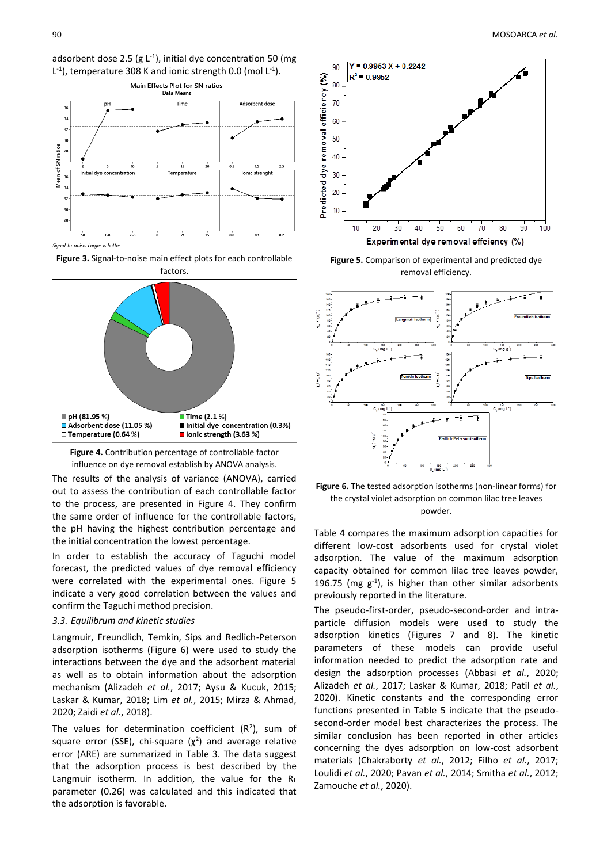



**Figure 3.** Signal-to-noise main effect plots for each controllable





The results of the analysis of variance (ANOVA), carried out to assess the contribution of each controllable factor to the process, are presented in Figure 4. They confirm the same order of influence for the controllable factors, the pH having the highest contribution percentage and the initial concentration the lowest percentage.

In order to establish the accuracy of Taguchi model forecast, the predicted values of dye removal efficiency were correlated with the experimental ones. Figure 5 indicate a very good correlation between the values and confirm the Taguchi method precision.

### *3.3. Equilibrum and kinetic studies*

Langmuir, Freundlich, Temkin, Sips and Redlich-Peterson adsorption isotherms (Figure 6) were used to study the interactions between the dye and the adsorbent material as well as to obtain information about the adsorption mechanism (Alizadeh *et al.*, 2017; Aysu & Kucuk, 2015; Laskar & Kumar, 2018; Lim *et al.*, 2015; Mirza & Ahmad, 2020; Zaidi *et al.*, 2018).

The values for determination coefficient  $(R^2)$ , sum of square error (SSE), chi-square  $(\chi^2)$  and average relative error (ARE) are summarized in Table 3. The data suggest that the adsorption process is best described by the Langmuir isotherm. In addition, the value for the R<sup>L</sup> parameter (0.26) was calculated and this indicated that the adsorption is favorable.



**Figure 5.** Comparison of experimental and predicted dye removal efficiency.



**Figure 6.** The tested adsorption isotherms (non-linear forms) for the crystal violet adsorption on common lilac tree leaves powder.

Table 4 compares the maximum adsorption capacities for different low-cost adsorbents used for crystal violet adsorption. The value of the maximum adsorption capacity obtained for common lilac tree leaves powder, 196.75 (mg  $g^{-1}$ ), is higher than other similar adsorbents previously reported in the literature.

The pseudo-first-order, pseudo-second-order and intraparticle diffusion models were used to study the adsorption kinetics (Figures 7 and 8). The kinetic parameters of these models can provide useful information needed to predict the adsorption rate and design the adsorption processes (Abbasi *et al.*, 2020; Alizadeh *et al.*, 2017; Laskar & Kumar, 2018; Patil *et al.*, 2020). Kinetic constants and the corresponding error functions presented in Table 5 indicate that the pseudosecond-order model best characterizes the process. The similar conclusion has been reported in other articles concerning the dyes adsorption on low-cost adsorbent materials (Chakraborty *et al.*, 2012; Filho *et al.*, 2017; Loulidi *et al.*, 2020; Pavan *et al.*, 2014; Smitha *et al.*, 2012; Zamouche *et al.*, 2020).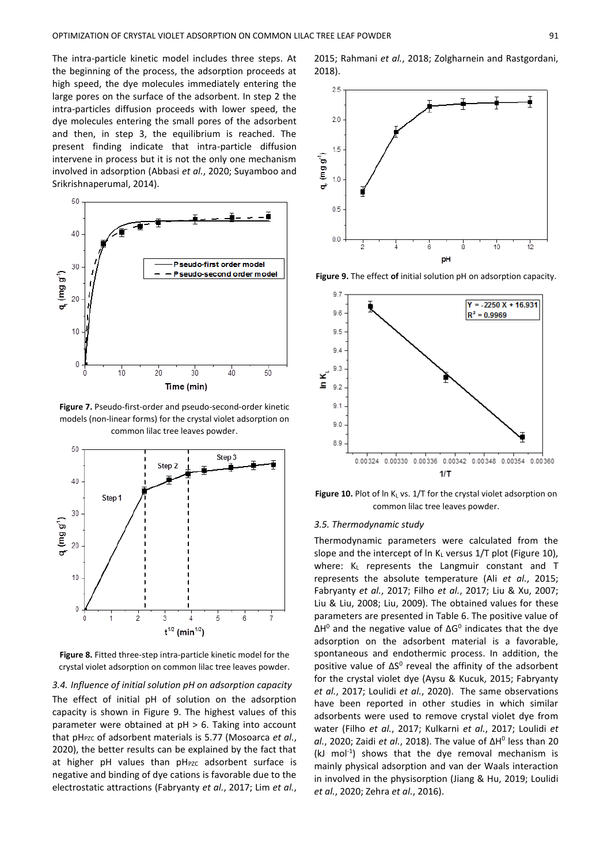The intra-particle kinetic model includes three steps. At the beginning of the process, the adsorption proceeds at high speed, the dye molecules immediately entering the large pores on the surface of the adsorbent. In step 2 the intra-particles diffusion proceeds with lower speed, the dye molecules entering the small pores of the adsorbent and then, in step 3, the equilibrium is reached. The present finding indicate that intra-particle diffusion intervene in process but it is not the only one mechanism involved in adsorption (Abbasi *et al.*, 2020; Suyamboo and Srikrishnaperumal, 2014).



**Figure 7.** Pseudo-first-order and pseudo-second-order kinetic models (non-linear forms) for the crystal violet adsorption on common lilac tree leaves powder.



**Figure 8.** Fitted three-step intra-particle kinetic model for the crystal violet adsorption on common lilac tree leaves powder.

#### *3.4. Influence of initial solution pH on adsorption capacity*

The effect of initial pH of solution on the adsorption capacity is shown in Figure 9. The highest values of this parameter were obtained at pH > 6. Taking into account that pH<sub>PZC</sub> of adsorbent materials is 5.77 (Mosoarca *et al.*, 2020), the better results can be explained by the fact that at higher pH values than  $pH_{PZC}$  adsorbent surface is negative and binding of dye cations is favorable due to the electrostatic attractions (Fabryanty *et al.*, 2017; Lim *et al.*,

2015; Rahmani *et al.*, 2018; Zolgharnein and Rastgordani, 2018).



**Figure 9.** The effect **of** initial solution pH on adsorption capacity.



Figure 10. Plot of ln KL vs. 1/T for the crystal violet adsorption on common lilac tree leaves powder.

# *3.5. Thermodynamic study*

Thermodynamic parameters were calculated from the slope and the intercept of  $\ln K_L$  versus 1/T plot (Figure 10), where: KL represents the Langmuir constant and T represents the absolute temperature (Ali *et al.*, 2015; Fabryanty *et al.*, 2017; Filho *et al.*, 2017; Liu & Xu, 2007; Liu & Liu, 2008; Liu, 2009). The obtained values for these parameters are presented in Table 6. The positive value of  $ΔH<sup>o</sup>$  and the negative value of  $ΔG<sup>o</sup>$  indicates that the dye adsorption on the adsorbent material is a favorable, spontaneous and endothermic process. In addition, the positive value of  $\Delta S^0$  reveal the affinity of the adsorbent for the crystal violet dye (Aysu & Kucuk, 2015; Fabryanty *et al.*, 2017; Loulidi *et al.*, 2020). The same observations have been reported in other studies in which similar adsorbents were used to remove crystal violet dye from water (Filho *et al.*, 2017; Kulkarni *et al.*, 2017; Loulidi *et*  al., 2020; Zaidi et al., 2018). The value of ΔH<sup>0</sup> less than 20 (kJ mol<sup>-1</sup>) shows that the dye removal mechanism is mainly physical adsorption and van der Waals interaction in involved in the physisorption (Jiang & Hu, 2019; Loulidi *et al.*, 2020; Zehra *et al.*, 2016).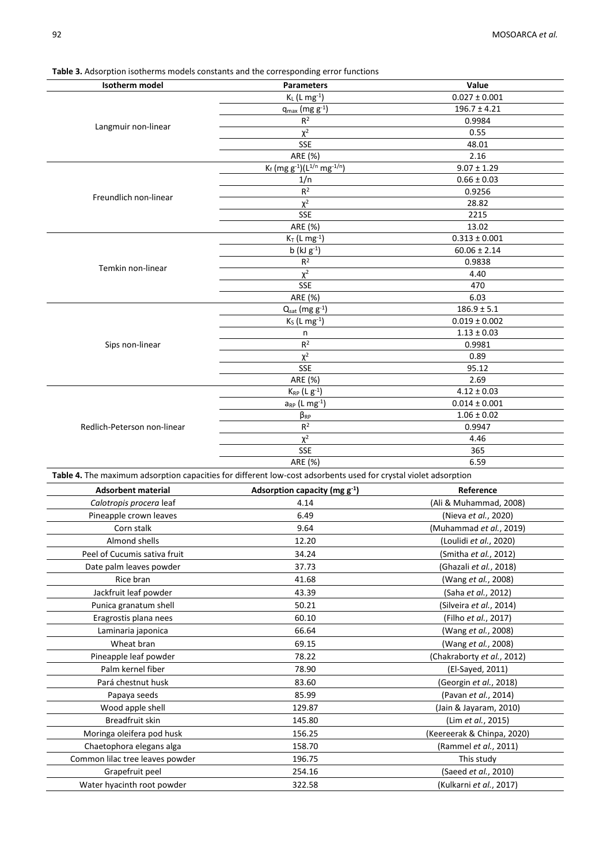**Table 3.** Adsorption isotherms models constants and the corresponding error functions

| Isotherm model                  | <b>Parameters</b>                                                                                               | Value                      |
|---------------------------------|-----------------------------------------------------------------------------------------------------------------|----------------------------|
|                                 | $K_L$ (L mg <sup>-1</sup> )                                                                                     | $0.027 \pm 0.001$          |
|                                 | $q_{max}$ (mg $g^{-1}$ )                                                                                        | $196.7 \pm 4.21$           |
|                                 | R <sup>2</sup>                                                                                                  | 0.9984                     |
| Langmuir non-linear             | $\chi^2$                                                                                                        | 0.55                       |
|                                 | <b>SSE</b>                                                                                                      | 48.01                      |
|                                 | ARE (%)                                                                                                         | 2.16                       |
|                                 | $K_f$ (mg g <sup>-1</sup> )(L <sup>1/n</sup> mg <sup>-1/n</sup> )                                               | $9.07 \pm 1.29$            |
|                                 | 1/n                                                                                                             | $0.66 \pm 0.03$            |
|                                 | R <sup>2</sup>                                                                                                  | 0.9256                     |
| Freundlich non-linear           | $\chi^2$                                                                                                        | 28.82                      |
|                                 | <b>SSE</b>                                                                                                      | 2215                       |
|                                 | ARE (%)                                                                                                         | 13.02                      |
|                                 | $K_T$ (L mg <sup>-1</sup> )                                                                                     | $0.313 \pm 0.001$          |
|                                 | $b$ (kJ $g^{-1}$ )                                                                                              | $60.06 \pm 2.14$           |
|                                 | R <sup>2</sup>                                                                                                  | 0.9838                     |
| Temkin non-linear               | $\chi^2$                                                                                                        | 4.40                       |
|                                 | <b>SSE</b>                                                                                                      | 470                        |
|                                 | ARE (%)                                                                                                         | 6.03                       |
|                                 | $Q_{sat}$ (mg $g^{-1}$ )                                                                                        | $186.9 \pm 5.1$            |
|                                 | $K_S$ (L mg-1)                                                                                                  | $0.019 \pm 0.002$          |
|                                 | n                                                                                                               | $1.13 \pm 0.03$            |
| Sips non-linear                 | R <sup>2</sup>                                                                                                  | 0.9981                     |
|                                 | $\chi^2$                                                                                                        | 0.89                       |
|                                 | <b>SSE</b>                                                                                                      | 95.12                      |
|                                 | ARE (%)                                                                                                         | 2.69                       |
|                                 | $K_{RP}$ (L $g^{-1}$ )                                                                                          | $4.12 \pm 0.03$            |
|                                 | $a_{RP}$ (L mg <sup>-1</sup> )                                                                                  | $0.014 \pm 0.001$          |
|                                 | $\beta_{RP}$                                                                                                    | $1.06 \pm 0.02$            |
| Redlich-Peterson non-linear     | R <sup>2</sup>                                                                                                  | 0.9947                     |
|                                 | $\chi^2$                                                                                                        | 4.46                       |
|                                 | <b>SSE</b>                                                                                                      | 365                        |
|                                 | ARE (%)                                                                                                         | 6.59                       |
|                                 | Table 4. The maximum adsorption capacities for different low-cost adsorbents used for crystal violet adsorption |                            |
| <b>Adsorbent material</b>       | Adsorption capacity ( $mg g^{-1}$ )                                                                             | Reference                  |
| Calotropis procera leaf         | 4.14                                                                                                            | (Ali & Muhammad, 2008)     |
| Pineapple crown leaves          | 6.49                                                                                                            | (Nieva et al., 2020)       |
| Corn stalk                      | 9.64                                                                                                            | (Muhammad et al., 2019)    |
| Almond shells                   | 12.20                                                                                                           | (Loulidi et al., 2020)     |
| Peel of Cucumis sativa fruit    | 34.24                                                                                                           | (Smitha et al., 2012)      |
| Date palm leaves powder         | 37.73                                                                                                           | (Ghazali et al., 2018)     |
| Rice bran                       | 41.68                                                                                                           | (Wang et al., 2008)        |
| Jackfruit leaf powder           | 43.39                                                                                                           | (Saha et al., 2012)        |
| Punica granatum shell           | 50.21                                                                                                           | (Silveira et al., 2014)    |
| Eragrostis plana nees           | 60.10                                                                                                           | (Filho et al., 2017)       |
| Laminaria japonica              | 66.64                                                                                                           | (Wang et al., 2008)        |
| Wheat bran                      | 69.15                                                                                                           |                            |
|                                 |                                                                                                                 | (Wang et al., 2008)        |
| Pineapple leaf powder           | 78.22                                                                                                           | (Chakraborty et al., 2012) |
| Palm kernel fiber               | 78.90                                                                                                           | (El-Sayed, 2011)           |
| Pará chestnut husk              | 83.60                                                                                                           | (Georgin et al., 2018)     |
| Papaya seeds                    | 85.99                                                                                                           | (Pavan et al., 2014)       |
| Wood apple shell                | 129.87                                                                                                          | (Jain & Jayaram, 2010)     |
| Breadfruit skin                 | 145.80                                                                                                          | (Lim et al., 2015)         |
| Moringa oleifera pod husk       | 156.25                                                                                                          | (Keereerak & Chinpa, 2020) |
| Chaetophora elegans alga        | 158.70                                                                                                          | (Rammel et al., 2011)      |
| Common lilac tree leaves powder | 196.75                                                                                                          | This study                 |
| Grapefruit peel                 | 254.16                                                                                                          | (Saeed et al., 2010)       |
| Water hyacinth root powder      | 322.58                                                                                                          | (Kulkarni et al., 2017)    |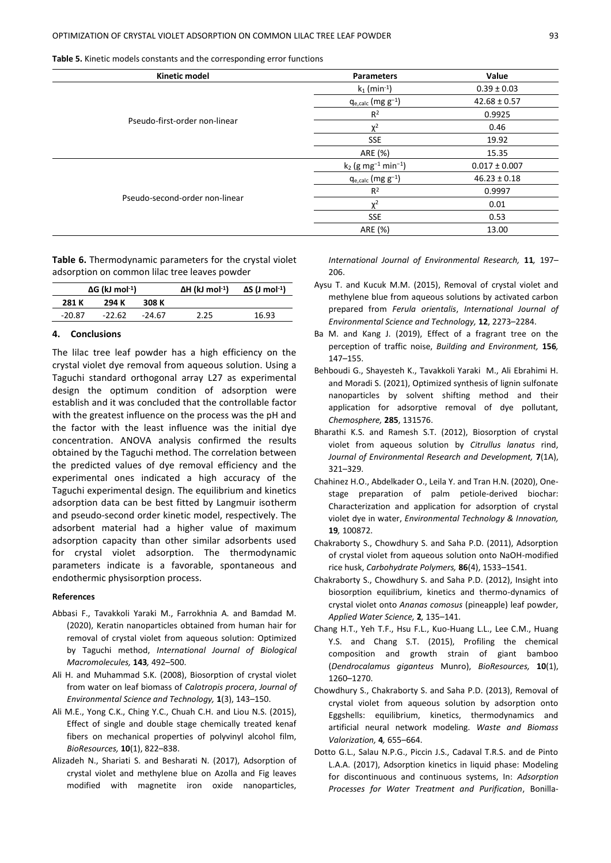**Table 5.** Kinetic models constants and the corresponding error functions

| <b>Kinetic model</b>           | <b>Parameters</b>                             | Value             |
|--------------------------------|-----------------------------------------------|-------------------|
|                                | $k_1$ (min <sup>-1</sup> )                    | $0.39 \pm 0.03$   |
| Pseudo-first-order non-linear  | $q_{e,calc}$ (mg $g^{-1}$ )                   | $42.68 \pm 0.57$  |
|                                | $R^2$                                         | 0.9925            |
|                                | $\chi^2$                                      | 0.46              |
|                                | <b>SSE</b>                                    | 19.92             |
|                                | ARE (%)                                       | 15.35             |
| Pseudo-second-order non-linear | $k_2$ (g mg <sup>-1</sup> min <sup>-1</sup> ) | $0.017 \pm 0.007$ |
|                                | $q_{e,calc}$ (mg $g^{-1}$ )                   | $46.23 \pm 0.18$  |
|                                | $R^2$                                         | 0.9997            |
|                                | $\chi^2$                                      | 0.01              |
|                                | <b>SSE</b>                                    | 0.53              |
|                                | ARE (%)                                       | 13.00             |

**Table 6.** Thermodynamic parameters for the crystal violet adsorption on common lilac tree leaves powder

| $\Delta G$ (kJ mol <sup>-1</sup> ) |          |          | $\Delta H$ (kJ mol <sup>-1</sup> ) | $\Delta S$ (J mol <sup>-1</sup> ) |
|------------------------------------|----------|----------|------------------------------------|-----------------------------------|
| 281 K                              | 294 K    | 308 K    |                                    |                                   |
| $-20.87$                           | $-22.62$ | $-24.67$ | 2.25                               | 16.93                             |

# **4. Conclusions**

The lilac tree leaf powder has a high efficiency on the crystal violet dye removal from aqueous solution. Using a Taguchi standard orthogonal array L27 as experimental design the optimum condition of adsorption were establish and it was concluded that the controllable factor with the greatest influence on the process was the pH and the factor with the least influence was the initial dye concentration. ANOVA analysis confirmed the results obtained by the Taguchi method. The correlation between the predicted values of dye removal efficiency and the experimental ones indicated a high accuracy of the Taguchi experimental design. The equilibrium and kinetics adsorption data can be best fitted by Langmuir isotherm and pseudo-second order kinetic model, respectively. The adsorbent material had a higher value of maximum adsorption capacity than other similar adsorbents used for crystal violet adsorption. The thermodynamic parameters indicate is a favorable, spontaneous and endothermic physisorption process.

#### **References**

- Abbasi F., Tavakkoli Yaraki M., Farrokhnia A. and Bamdad M. (2020), Keratin nanoparticles obtained from human hair for removal of crystal violet from aqueous solution: Optimized by Taguchi method, *International Journal of Biological Macromolecules,* **143***,* 492–500.
- Ali H. and Muhammad S.K. (2008), Biosorption of crystal violet from water on leaf biomass of *Calotropis procera*, *Journal of Environmental Science and Technology,* **1**(3), 143–150.
- Ali M.E., Yong C.K., Ching Y.C., Chuah C.H. and Liou N.S. (2015), Effect of single and double stage chemically treated kenaf fibers on mechanical properties of polyvinyl alcohol film, *BioResources,* **10**(1), 822–838.
- Alizadeh N., Shariati S. and Besharati N. (2017), Adsorption of crystal violet and methylene blue on Azolla and Fig leaves modified with magnetite iron oxide nanoparticles,

*International Journal of Environmental Research,* **11***,* 197– 206.

- Aysu T. and Kucuk M.M. (2015), Removal of crystal violet and methylene blue from aqueous solutions by activated carbon prepared from *Ferula orientalis*, *International Journal of Environmental Science and Technology,* **12**, 2273–2284.
- Ba M. and Kang J. (2019), Effect of a fragrant tree on the perception of traffic noise, *Building and Environment,* **156***,* 147–155.
- Behboudi G., Shayesteh K., Tavakkoli Yaraki M., Ali Ebrahimi H. and Moradi S. (2021), Optimized synthesis of lignin sulfonate nanoparticles by solvent shifting method and their application for adsorptive removal of dye pollutant, *Chemosphere,* **285**, 131576.
- Bharathi K.S. and Ramesh S.T. (2012), Biosorption of crystal violet from aqueous solution by *Citrullus lanatus* rind, *Journal of Environmental Research and Development,* **7**(1A), 321–329.
- Chahinez H.O., Abdelkader O., Leila Y. and Tran H.N. (2020), Onestage preparation of palm petiole-derived biochar: Characterization and application for adsorption of crystal violet dye in water, *Environmental Technology & Innovation,*  **19***,* 100872.
- Chakraborty S., Chowdhury S. and Saha P.D. (2011), Adsorption of crystal violet from aqueous solution onto NaOH-modified rice husk, *Carbohydrate Polymers,* **86**(4), 1533–1541.
- Chakraborty S., Chowdhury S. and Saha P.D. (2012), Insight into biosorption equilibrium, kinetics and thermo-dynamics of crystal violet onto *Ananas comosus* (pineapple) leaf powder, *Applied Water Science,* **2***,* 135–141.
- Chang H.T., Yeh T.F., Hsu F.L., Kuo-Huang L.L., Lee C.M., Huang Y.S. and Chang S.T. (2015), Profiling the chemical composition and growth strain of giant bamboo (*Dendrocalamus giganteus* Munro), *BioResources,* **10**(1), 1260–1270.
- Chowdhury S., Chakraborty S. and Saha P.D. (2013), Removal of crystal violet from aqueous solution by adsorption onto Eggshells: equilibrium, kinetics, thermodynamics and artificial neural network modeling. *Waste and Biomass Valorization,* **4***,* 655–664.
- Dotto G.L., Salau N.P.G., Piccin J.S., Cadaval T.R.S. and de Pinto L.A.A. (2017), Adsorption kinetics in liquid phase: Modeling for discontinuous and continuous systems, In: *Adsorption Processes for Water Treatment and Purification*, Bonilla-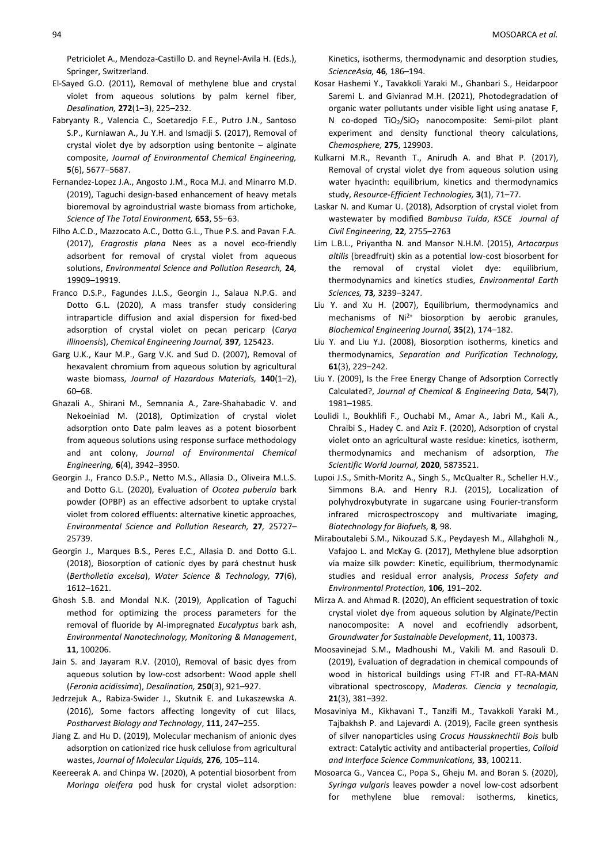Petriciolet A., Mendoza-Castillo D. and Reynel-Avila H. (Eds.), Springer, Switzerland.

- El-Sayed G.O. (2011), Removal of methylene blue and crystal violet from aqueous solutions by palm kernel fiber, *Desalination,* **272**(1–3), 225–232.
- Fabryanty R., Valencia C., Soetaredjo F.E., Putro J.N., Santoso S.P., Kurniawan A., Ju Y.H. and Ismadji S. (2017), Removal of crystal violet dye by adsorption using bentonite – alginate composite, *Journal of Environmental Chemical Engineering,*  **5**(6), 5677–5687.
- Fernandez-Lopez J.A., Angosto J.M., Roca M.J. and Minarro M.D. (2019), Taguchi design-based enhancement of heavy metals bioremoval by agroindustrial waste biomass from artichoke, *Science of The Total Environment,* **653**, 55–63.
- Filho A.C.D., Mazzocato A.C., Dotto G.L., Thue P.S. and Pavan F.A. (2017), *Eragrostis plana* Nees as a novel eco-friendly adsorbent for removal of crystal violet from aqueous solutions, *Environmental Science and Pollution Research,* **24***,* 19909–19919.
- Franco D.S.P., Fagundes J.L.S., Georgin J., Salaua N.P.G. and Dotto G.L. (2020), A mass transfer study considering intraparticle diffusion and axial dispersion for fixed-bed adsorption of crystal violet on pecan pericarp (*Carya illinoensis*), *Chemical Engineering Journal,* **397***,* 125423.
- Garg U.K., Kaur M.P., Garg V.K. and Sud D. (2007), Removal of hexavalent chromium from aqueous solution by agricultural waste biomass, *Journal of Hazardous Materials,* **140**(1–2), 60–68.
- Ghazali A., Shirani M., Semnania A., Zare-Shahabadic V. and Nekoeiniad M. (2018), Optimization of crystal violet adsorption onto Date palm leaves as a potent biosorbent from aqueous solutions using response surface methodology and ant colony, *Journal of Environmental Chemical Engineering,* **6**(4), 3942–3950.
- Georgin J., Franco D.S.P., Netto M.S., Allasia D., Oliveira M.L.S. and Dotto G.L. (2020), Evaluation of *Ocotea puberula* bark powder (OPBP) as an effective adsorbent to uptake crystal violet from colored effluents: alternative kinetic approaches, *Environmental Science and Pollution Research,* **27***,* 25727– 25739.
- Georgin J., Marques B.S., Peres E.C., Allasia D. and Dotto G.L. (2018), Biosorption of cationic dyes by pará chestnut husk (*Bertholletia excelsa*), *Water Science & Technology,* **77**(6), 1612–1621.
- Ghosh S.B. and Mondal N.K. (2019), Application of Taguchi method for optimizing the process parameters for the removal of fluoride by Al-impregnated *Eucalyptus* bark ash, *Environmental Nanotechnology, Monitoring & Management*, **11**, 100206.
- Jain S. and Jayaram R.V. (2010), Removal of basic dyes from aqueous solution by low-cost adsorbent: Wood apple shell (*Feronia acidissima*), *Desalination,* **250**(3), 921–927.
- Jedrzejuk A., Rabiza-Swider J., Skutnik E. and Lukaszewska A. (2016), Some factors affecting longevity of cut lilacs, *Postharvest Biology and Technology*, **111**, 247–255.
- Jiang Z. and Hu D. (2019), Molecular mechanism of anionic dyes adsorption on cationized rice husk cellulose from agricultural wastes, *Journal of Molecular Liquids,* **276***,* 105–114.
- Keereerak A. and Chinpa W. (2020), A potential biosorbent from *Moringa oleifera* pod husk for crystal violet adsorption:

Kinetics, isotherms, thermodynamic and desorption studies, *ScienceAsia,* **46***,* 186–194.

- Kosar Hashemi Y., Tavakkoli Yaraki M., Ghanbari S., Heidarpoor Saremi L. and Givianrad M.H. (2021), Photodegradation of organic water pollutants under visible light using anatase F, N co-doped  $TiO<sub>2</sub>/SiO<sub>2</sub>$  nanocomposite: Semi-pilot plant experiment and density functional theory calculations, *Chemosphere,* **275**, 129903.
- Kulkarni M.R., Revanth T., Anirudh A. and Bhat P. (2017), Removal of crystal violet dye from aqueous solution using water hyacinth: equilibrium, kinetics and thermodynamics study, *Resource-Efficient Technologies,* **3**(1), 71–77.
- Laskar N. and Kumar U. (2018), Adsorption of crystal violet from wastewater by modified *Bambusa Tulda*, *KSCE Journal of Civil Engineering,* **22***,* 2755–2763
- Lim L.B.L., Priyantha N. and Mansor N.H.M. (2015), *Artocarpus altilis* (breadfruit) skin as a potential low-cost biosorbent for the removal of crystal violet dye: equilibrium, thermodynamics and kinetics studies, *Environmental Earth Sciences,* **73***,* 3239–3247.
- Liu Y. and Xu H. (2007), Equilibrium, thermodynamics and mechanisms of  $Ni<sup>2+</sup>$  biosorption by aerobic granules, *Biochemical Engineering Journal,* **35**(2), 174–182.
- Liu Y. and Liu Y.J. (2008), Biosorption isotherms, kinetics and thermodynamics, *Separation and Purification Technology,*  **61**(3), 229–242.
- Liu Y. (2009), Is the Free Energy Change of Adsorption Correctly Calculated?, *Journal of Chemical & Engineering Data,* **54**(7), 1981–1985.
- Loulidi I., Boukhlifi F., Ouchabi M., Amar A., Jabri M., Kali A., Chraibi S., Hadey C. and Aziz F. (2020), Adsorption of crystal violet onto an agricultural waste residue: kinetics, isotherm, thermodynamics and mechanism of adsorption, *The Scientific World Journal,* **2020**, 5873521.
- Lupoi J.S., Smith-Moritz A., Singh S., McQualter R., Scheller H.V., Simmons B.A. and Henry R.J. (2015), Localization of polyhydroxybutyrate in sugarcane using Fourier-transform infrared microspectroscopy and multivariate imaging, *Biotechnology for Biofuels,* **8***,* 98.
- Miraboutalebi S.M., Nikouzad S.K., Peydayesh M., Allahgholi N., Vafajoo L. and McKay G. (2017), Methylene blue adsorption via maize silk powder: Kinetic, equilibrium, thermodynamic studies and residual error analysis, *Process Safety and Environmental Protection,* **106***,* 191–202.
- Mirza A. and Ahmad R. (2020), An efficient sequestration of toxic crystal violet dye from aqueous solution by Alginate/Pectin nanocomposite: A novel and ecofriendly adsorbent, *Groundwater for Sustainable Development*, **11**, 100373.
- Moosavinejad S.M., Madhoushi M., Vakili M. and Rasouli D. (2019), Evaluation of degradation in chemical compounds of wood in historical buildings using FT-IR and FT-RA-MAN vibrational spectroscopy, *Maderas. Ciencia y tecnologia,*  **21**(3), 381–392.
- Mosaviniya M., Kikhavani T., Tanzifi M., Tavakkoli Yaraki M., Tajbakhsh P. and Lajevardi A. (2019), Facile green synthesis of silver nanoparticles using *Crocus Haussknechtii Bois* bulb extract: Catalytic activity and antibacterial properties, *Colloid and Interface Science Communications,* **33**, 100211.
- Mosoarca G., Vancea C., Popa S., Gheju M. and Boran S. (2020), *Syringa vulgaris* leaves powder a novel low‑cost adsorbent for methylene blue removal: isotherms, kinetics,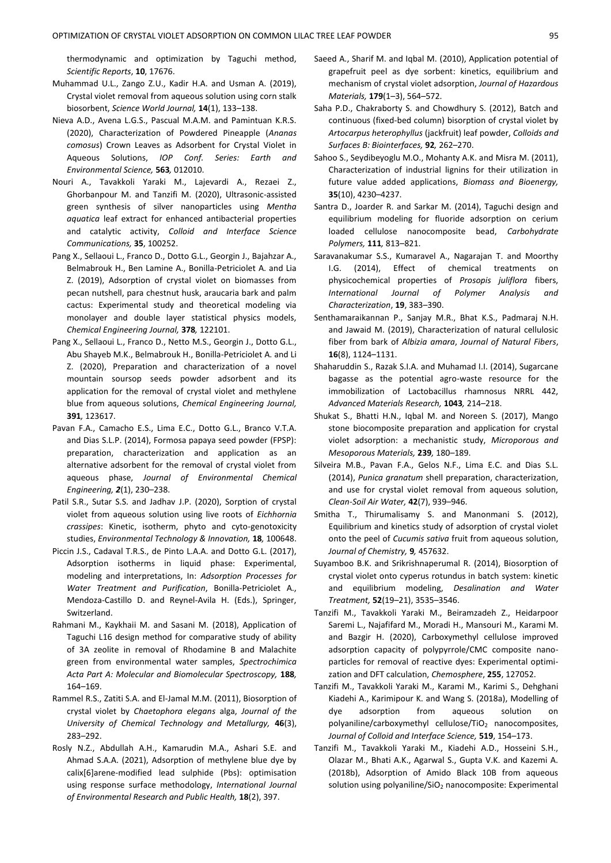thermodynamic and optimization by Taguchi method, *Scientific Reports*, **10**, 17676.

- Muhammad U.L., Zango Z.U., Kadir H.A. and Usman A. (2019), Crystal violet removal from aqueous solution using corn stalk biosorbent, *Science World Journal,* **14**(1), 133–138.
- Nieva A.D., Avena L.G.S., Pascual M.A.M. and Pamintuan K.R.S. (2020), Characterization of Powdered Pineapple (*Ananas comosus*) Crown Leaves as Adsorbent for Crystal Violet in Aqueous Solutions, *IOP Conf. Series: Earth and Environmental Science,* **563***,* 012010.
- Nouri A., Tavakkoli Yaraki M., Lajevardi A., Rezaei Z., Ghorbanpour M. and Tanzifi M. (2020), Ultrasonic-assisted green synthesis of silver nanoparticles using *Mentha aquatica* leaf extract for enhanced antibacterial properties and catalytic activity, *Colloid and Interface Science Communications,* **35**, 100252.
- Pang X., Sellaoui L., Franco D., Dotto G.L., Georgin J., Bajahzar A., Belmabrouk H., Ben Lamine A., Bonilla-Petriciolet A. and Lia Z. (2019), Adsorption of crystal violet on biomasses from pecan nutshell, para chestnut husk, araucaria bark and palm cactus: Experimental study and theoretical modeling via monolayer and double layer statistical physics models, *Chemical Engineering Journal,* **378***,* 122101.
- Pang X., Sellaoui L., Franco D., Netto M.S., Georgin J., Dotto G.L., Abu Shayeb M.K., Belmabrouk H., Bonilla-Petriciolet A. and Li Z. (2020), Preparation and characterization of a novel mountain soursop seeds powder adsorbent and its application for the removal of crystal violet and methylene blue from aqueous solutions, *Chemical Engineering Journal,*  **391***,* 123617.
- Pavan F.A., Camacho E.S., Lima E.C., Dotto G.L., Branco V.T.A. and Dias S.L.P. (2014), Formosa papaya seed powder (FPSP): preparation, characterization and application as an alternative adsorbent for the removal of crystal violet from aqueous phase, *Journal of Environmental Chemical Engineering, 2*(1), 230–238.
- Patil S.R., Sutar S.S. and Jadhav J.P. (2020), Sorption of crystal violet from aqueous solution using live roots of *Eichhornia crassipes*: Kinetic, isotherm, phyto and cyto-genotoxicity studies, *Environmental Technology & Innovation,* **18***,* 100648.
- Piccin J.S., Cadaval T.R.S., de Pinto L.A.A. and Dotto G.L. (2017), Adsorption isotherms in liquid phase: Experimental, modeling and interpretations, In: *Adsorption Processes for Water Treatment and Purification*, Bonilla-Petriciolet A., Mendoza-Castillo D. and Reynel-Avila H. (Eds.), Springer, Switzerland.
- Rahmani M., Kaykhaii M. and Sasani M. (2018), Application of Taguchi L16 design method for comparative study of ability of 3A zeolite in removal of Rhodamine B and Malachite green from environmental water samples, *Spectrochimica Acta Part A: Molecular and Biomolecular Spectroscopy,* **188***,* 164–169.
- Rammel R.S., Zatiti S.A. and El-Jamal M.M. (2011), Biosorption of crystal violet by *Chaetophora elegans* alga, *Journal of the University of Chemical Technology and Metallurgy,* **46**(3), 283–292.
- Rosly N.Z., Abdullah A.H., Kamarudin M.A., Ashari S.E. and Ahmad S.A.A. (2021), Adsorption of methylene blue dye by calix[6]arene-modified lead sulphide (Pbs): optimisation using response surface methodology, *International Journal of Environmental Research and Public Health,* **18**(2), 397.
- Saeed A., Sharif M. and Iqbal M. (2010), Application potential of grapefruit peel as dye sorbent: kinetics, equilibrium and mechanism of crystal violet adsorption, *Journal of Hazardous Materials,* **179**(1–3), 564–572.
- Saha P.D., Chakraborty S. and Chowdhury S. (2012), Batch and continuous (fixed-bed column) bisorption of crystal violet by *Artocarpus heterophyllus* (jackfruit) leaf powder, *Colloids and Surfaces B: Biointerfaces,* **92***,* 262–270.
- Sahoo S., Seydibeyoglu M.O., Mohanty A.K. and Misra M. (2011), Characterization of industrial lignins for their utilization in future value added applications, *Biomass and Bioenergy,*  **35**(10), 4230–4237.
- Santra D., Joarder R. and Sarkar M. (2014), Taguchi design and equilibrium modeling for fluoride adsorption on cerium loaded cellulose nanocomposite bead, *Carbohydrate Polymers,* **111***,* 813–821.
- Saravanakumar S.S., Kumaravel A., Nagarajan T. and Moorthy I.G. (2014), Effect of chemical treatments on physicochemical properties of *Prosopis juliflora* fibers, *International Journal of Polymer Analysis and Characterization*, **19**, 383–390.
- Senthamaraikannan P., Sanjay M.R., Bhat K.S., Padmaraj N.H. and Jawaid M. (2019), Characterization of natural cellulosic fiber from bark of *Albizia amara*, *Journal of Natural Fibers*, **16**(8), 1124–1131.
- Shaharuddin S., Razak S.I.A. and Muhamad I.I. (2014), Sugarcane bagasse as the potential agro-waste resource for the immobilization of Lactobacillus rhamnosus NRRL 442, *Advanced Materials Research,* **1043***,* 214–218.
- Shukat S., Bhatti H.N., Iqbal M. and Noreen S. (2017), Mango stone biocomposite preparation and application for crystal violet adsorption: a mechanistic study, *Microporous and Mesoporous Materials,* **239***,* 180–189.
- Silveira M.B., Pavan F.A., Gelos N.F., Lima E.C. and Dias S.L. (2014), *Punica granatum* shell preparation, characterization, and use for crystal violet removal from aqueous solution, *Clean-Soil Air Water,* **42**(7), 939–946.
- Smitha T., Thirumalisamy S. and Manonmani S. (2012), Equilibrium and kinetics study of adsorption of crystal violet onto the peel of *Cucumis sativa* fruit from aqueous solution, *Journal of Chemistry,* **9***,* 457632.
- Suyamboo B.K. and Srikrishnaperumal R. (2014), Biosorption of crystal violet onto cyperus rotundus in batch system: kinetic and equilibrium modeling, *Desalination and Water Treatment,* **52**(19–21), 3535–3546.
- Tanzifi M., Tavakkoli Yaraki M., Beiramzadeh Z., Heidarpoor Saremi L., Najafifard M., Moradi H., Mansouri M., Karami M. and Bazgir H. (2020), Carboxymethyl cellulose improved adsorption capacity of polypyrrole/CMC composite nanoparticles for removal of reactive dyes: Experimental optimization and DFT calculation, *Chemosphere*, **255**, 127052.
- Tanzifi M., Tavakkoli Yaraki M., Karami M., Karimi S., Dehghani Kiadehi A., Karimipour K. and Wang S. (2018a), Modelling of dye adsorption from aqueous solution on polyaniline/carboxymethyl cellulose/TiO<sub>2</sub> nanocomposites, *Journal of Colloid and Interface Science,* **519**, 154–173.
- Tanzifi M., Tavakkoli Yaraki M., Kiadehi A.D., Hosseini S.H., Olazar M., Bhati A.K., Agarwal S., Gupta V.K. and Kazemi A. (2018b), Adsorption of Amido Black 10B from aqueous solution using polyaniline/SiO<sub>2</sub> nanocomposite: Experimental